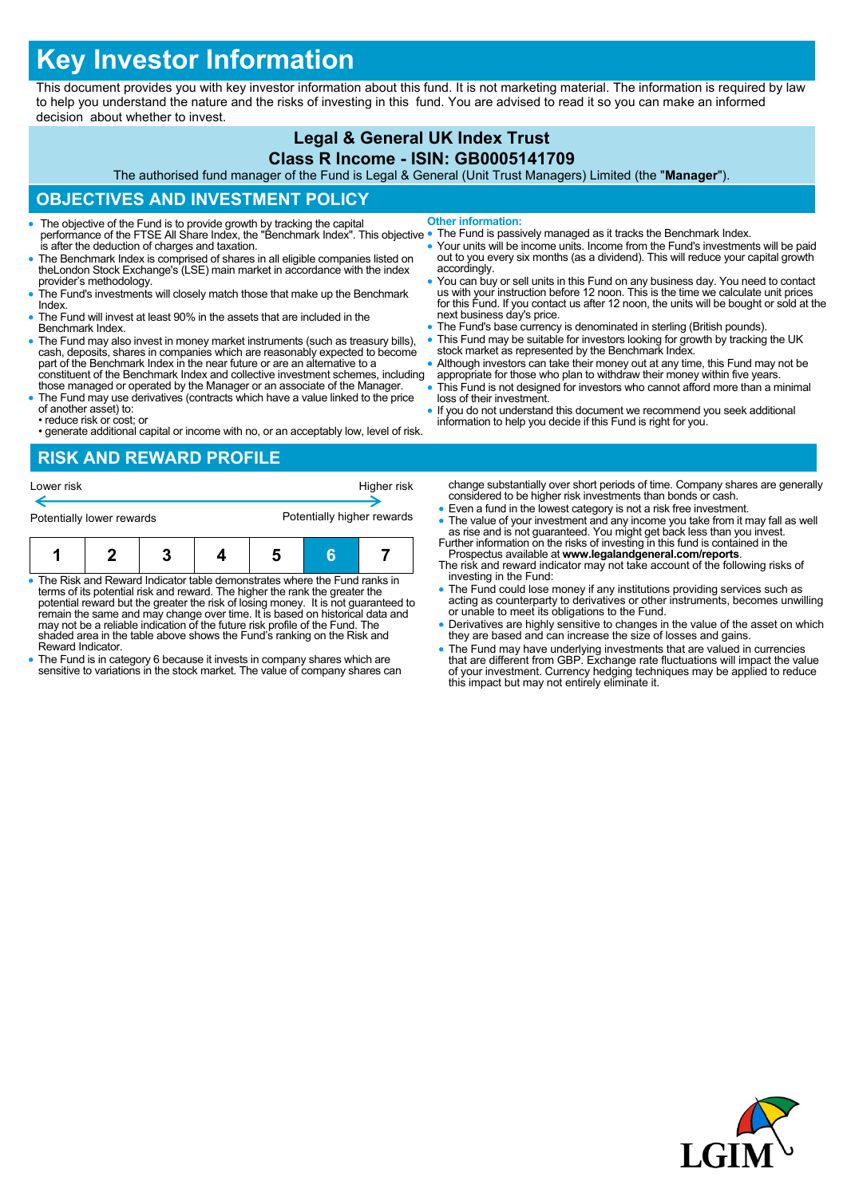# **Key Investor Information**

This document provides you with key investor information about this fund. It is not marketing material. The information is required by law to help you understand the nature and the risks of investing in this fund. You are advised to read it so you can make an informed decision about whether to invest.

#### **Legal & General UK Index Trust Class R Income - ISIN: GB0005141709**

The authorised fund manager of the Fund is Legal & General (Unit Trust Managers) Limited (the "**Manager**").

## **OBJECTIVES AND INVESTMENT POLICY**

- The objective of the Fund is to provide growth by tracking the capital performance of the FTSE All Share Index, the "Benchmark Index". This objective is after the deduction of charges and taxation. **Other information:**
- The Benchmark Index is comprised of shares in all eligible companies listed on theLondon Stock Exchange's (LSE) main market in accordance with the index provider's methodology.
- The Fund's investments will closely match those that make up the Benchmark Index.
- The Fund will invest at least 90% in the assets that are included in the Benchmark Index.
- The Fund may also invest in money market instruments (such as treasury bills), cash, deposits, shares in companies which are reasonably expected to become part of the Benchmark Index in the near future or are an alternative to a constituent of the Benchmark Index and collective investment schemes, including
- those managed or operated by the Manager or an associate of the Manager. The Fund may use derivatives (contracts which have a value linked to the price of another asset) to:
- reduce risk or cost; or
- generate additional capital or income with no, or an acceptably low, level of risk.
- 
- The Fund is passively managed as it tracks the Benchmark Index. Your units will be income units. Income from the Fund's investments will be paid out to you every six months (as a dividend). This will reduce your capital growth accordingly. You can buy or sell units in this Fund on any business day. You need to contact us with your instruction before 12 noon. This is the time we calculate unit prices
- for this Fund. If you contact us after 12 noon, the units will be bought or sold at the next business day's price. The Fund's base currency is denominated in sterling (British pounds).
- This Fund may be suitable for investors looking for growth by tracking the UK
- stock market as represented by the Benchmark Index. Although investors can take their money out at any time, this Fund may not be
- appropriate for those who plan to withdraw their money within five years. This Fund is not designed for investors who cannot afford more than a minimal
- loss of their investment.
- If you do not understand this document we recommend you seek additional information to help you decide if this Fund is right for you.

# **RISK AND REWARD PROFILE**

| Lower risk                |  |  |  |                            |   | Higher risk |  |
|---------------------------|--|--|--|----------------------------|---|-------------|--|
| Potentially lower rewards |  |  |  | Potentially higher rewards |   |             |  |
|                           |  |  |  |                            | հ |             |  |

- The Risk and Reward Indicator table demonstrates where the Fund ranks in terms of its potential risk and reward. The higher the rank the greater the potential reward but the greater the risk of losing money. It is not guaranteed to remain the same and may change over time. It is based on historical data and may not be a reliable indication of the future risk profile of the Fund. The shaded area in the table above shows the Fund's ranking on the Risk and Reward Indicator.
- The Fund is in category 6 because it invests in company shares which are sensitive to variations in the stock market. The value of company shares can
- change substantially over short periods of time. Company shares are generally considered to be higher risk investments than bonds or cash.
- Even a fund in the lowest category is not a risk free investment.
- The value of your investment and any income you take from it may fall as well as rise and is not guaranteed. You might get back less than you invest. Further information on the risks of investing in this fund is containe
- Prospectus available at **www.legalandgeneral.com/reports**. The risk and reward indicator may not take account of the following risks of investing in the Fund:
- The Fund could lose money if any institutions providing services such as acting as counterparty to derivatives or other instruments, becomes unwilling or unable to meet its obligations to the Fund.
- Derivatives are highly sensitive to changes in the value of the asset on which they are based and can increase the size of losses and gains.
- The Fund may have underlying investments that are valued in currencies<br>that are different from GBP. Exchange rate fluctuations will impact the value<br>of your investment. Currency hedging techniques may be applied to reduc